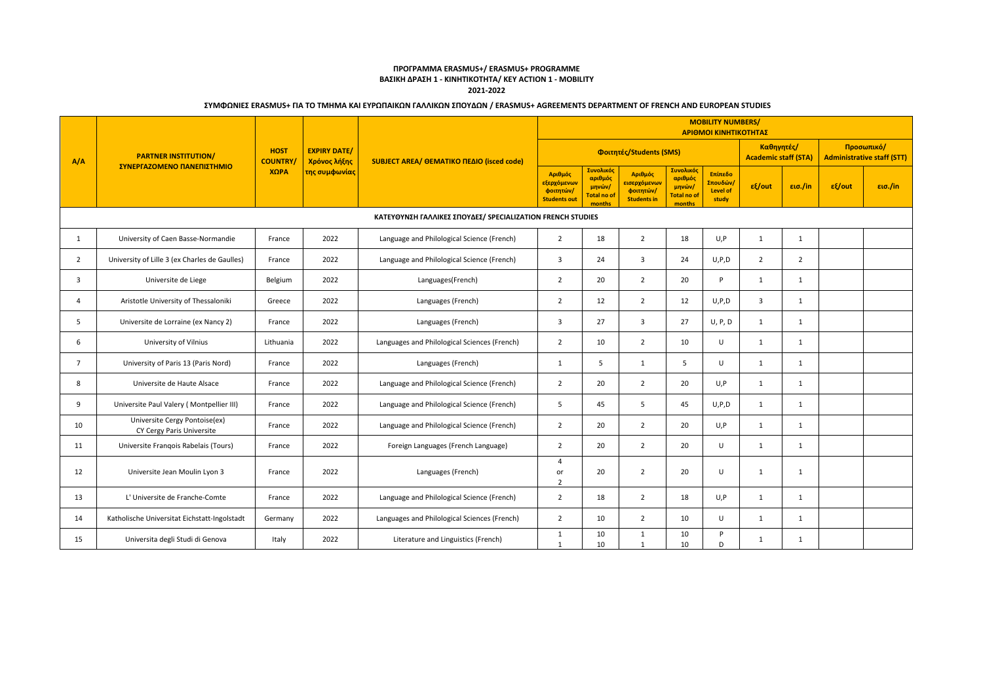|                | <b>PARTNER INSTITUTION/</b><br>ΣΥΝΕΡΓΑΖΟΜΕΝΟ ΠΑΝΕΠΙΣΤΗΜΙΟ  | <b>HOST</b><br><b>COUNTRY/</b><br>ΧΩΡΑ | <b>EXPIRY DATE/</b><br>Χρόνος λήξης<br>της συμφωνίας | SUBJECT AREA/ OEMATIKO ΠΕΔΙΟ (isced code)    | <b>MOBILITY NUMBERS/</b><br>ΑΡΙΘΜΟΙ ΚΙΝΗΤΙΚΟΤΗΤΑΣ          |                                                                |                                                                         |                                                                |                                                 |                                                 |                |           |         |  |
|----------------|------------------------------------------------------------|----------------------------------------|------------------------------------------------------|----------------------------------------------|------------------------------------------------------------|----------------------------------------------------------------|-------------------------------------------------------------------------|----------------------------------------------------------------|-------------------------------------------------|-------------------------------------------------|----------------|-----------|---------|--|
| A/A            |                                                            |                                        |                                                      |                                              |                                                            | Φοιτητές/Students (SMS)                                        |                                                                         | Καθηνητές/<br><b>Academic staff (STA)</b>                      |                                                 | Προσωπικό/<br><b>Administrative staff (STT)</b> |                |           |         |  |
|                |                                                            |                                        |                                                      |                                              | Αριθμός<br>εξερχόμενων<br>φοιτητών/<br><b>Students out</b> | Συνολικός<br>αριθμός<br>μηνών/<br><b>Total no of</b><br>months | Αριθμός<br><mark>εισερχόμενων</mark><br>φοιτητών/<br><b>Students in</b> | Συνολικός<br>αριθμός<br>μηνών/<br><b>Total no of</b><br>months | Επίπεδο<br>Σπουδών/<br><b>Level of</b><br>study | $ε$ {/out                                       | εισ./in        | $ε$ {/out | εισ./in |  |
|                | ΚΑΤΕΥΘΥΝΣΗ ΓΑΛΛΙΚΕΣ ΣΠΟΥΔΕΣ/ SPECIALIZATION FRENCH STUDIES |                                        |                                                      |                                              |                                                            |                                                                |                                                                         |                                                                |                                                 |                                                 |                |           |         |  |
| 1              | University of Caen Basse-Normandie                         | France                                 | 2022                                                 | Language and Philological Science (French)   | $\overline{2}$                                             | 18                                                             | $\overline{2}$                                                          | 18                                                             | U, P                                            | $\mathbf{1}$                                    | 1              |           |         |  |
| $\overline{2}$ | University of Lille 3 (ex Charles de Gaulles)              | France                                 | 2022                                                 | Language and Philological Science (French)   | $\overline{3}$                                             | 24                                                             | $\overline{3}$                                                          | 24                                                             | U, P, D                                         | $\overline{2}$                                  | $\overline{2}$ |           |         |  |
| $\overline{3}$ | Universite de Liege                                        | Belgium                                | 2022                                                 | Languages(French)                            | $\overline{2}$                                             | 20                                                             | $\overline{2}$                                                          | 20                                                             | P                                               | $\mathbf{1}$                                    | 1              |           |         |  |
| $\overline{4}$ | Aristotle University of Thessaloniki                       | Greece                                 | 2022                                                 | Languages (French)                           | $\overline{2}$                                             | 12                                                             | $\overline{2}$                                                          | 12                                                             | U, P, D                                         | $\overline{3}$                                  | 1              |           |         |  |
| 5              | Universite de Lorraine (ex Nancy 2)                        | France                                 | 2022                                                 | Languages (French)                           | $\overline{3}$                                             | 27                                                             | $\overline{3}$                                                          | 27                                                             | U, P, D                                         | $\mathbf{1}$                                    | 1              |           |         |  |
| 6              | University of Vilnius                                      | Lithuania                              | 2022                                                 | Languages and Philological Sciences (French) | $\overline{2}$                                             | 10                                                             | $\overline{2}$                                                          | 10                                                             | U                                               | $\mathbf{1}$                                    | 1              |           |         |  |
| $\overline{7}$ | University of Paris 13 (Paris Nord)                        | France                                 | 2022                                                 | Languages (French)                           | $\mathbf{1}$                                               | 5                                                              | $\mathbf{1}$                                                            | 5                                                              | U                                               | $\mathbf{1}$                                    | 1              |           |         |  |
| 8              | Universite de Haute Alsace                                 | France                                 | 2022                                                 | Language and Philological Science (French)   | $\overline{2}$                                             | 20                                                             | $\overline{2}$                                                          | 20                                                             | U, P                                            | $\mathbf{1}$                                    | 1              |           |         |  |
| 9              | Universite Paul Valery (Montpellier III)                   | France                                 | 2022                                                 | Language and Philological Science (French)   | 5                                                          | 45                                                             | 5                                                                       | 45                                                             | U, P, D                                         | $\mathbf{1}$                                    | 1              |           |         |  |
| 10             | Universite Cergy Pontoise(ex)<br>CY Cergy Paris Universite | France                                 | 2022                                                 | Language and Philological Science (French)   | $\overline{2}$                                             | 20                                                             | $\overline{2}$                                                          | 20                                                             | U, P                                            | $\mathbf{1}$                                    | 1              |           |         |  |
| 11             | Universite Frangois Rabelais (Tours)                       | France                                 | 2022                                                 | Foreign Languages (French Language)          | $\overline{2}$                                             | 20                                                             | $\overline{2}$                                                          | 20                                                             | $\cup$                                          | $\mathbf{1}$                                    | 1              |           |         |  |
| 12             | Universite Jean Moulin Lyon 3                              | France                                 | 2022                                                 | Languages (French)                           | $\overline{a}$<br>or<br>$\overline{2}$                     | 20                                                             | $\overline{2}$                                                          | 20                                                             | U                                               | 1                                               | 1              |           |         |  |
| 13             | L' Universite de Franche-Comte                             | France                                 | 2022                                                 | Language and Philological Science (French)   | $\overline{2}$                                             | 18                                                             | $\overline{2}$                                                          | 18                                                             | U, P                                            | 1                                               | 1              |           |         |  |
| 14             | Katholische Universitat Eichstatt-Ingolstadt               | Germany                                | 2022                                                 | Languages and Philological Sciences (French) | $\overline{2}$                                             | 10                                                             | $\overline{2}$                                                          | 10                                                             | U                                               | 1                                               | 1              |           |         |  |
| 15             | Universita degli Studi di Genova                           | Italy                                  | 2022                                                 | Literature and Linguistics (French)          | $\mathbf{1}$<br>$\mathbf{1}$                               | 10<br>10                                                       | $\mathbf{1}$<br>$\mathbf{1}$                                            | 10<br>10                                                       | P<br>D                                          | 1                                               | 1              |           |         |  |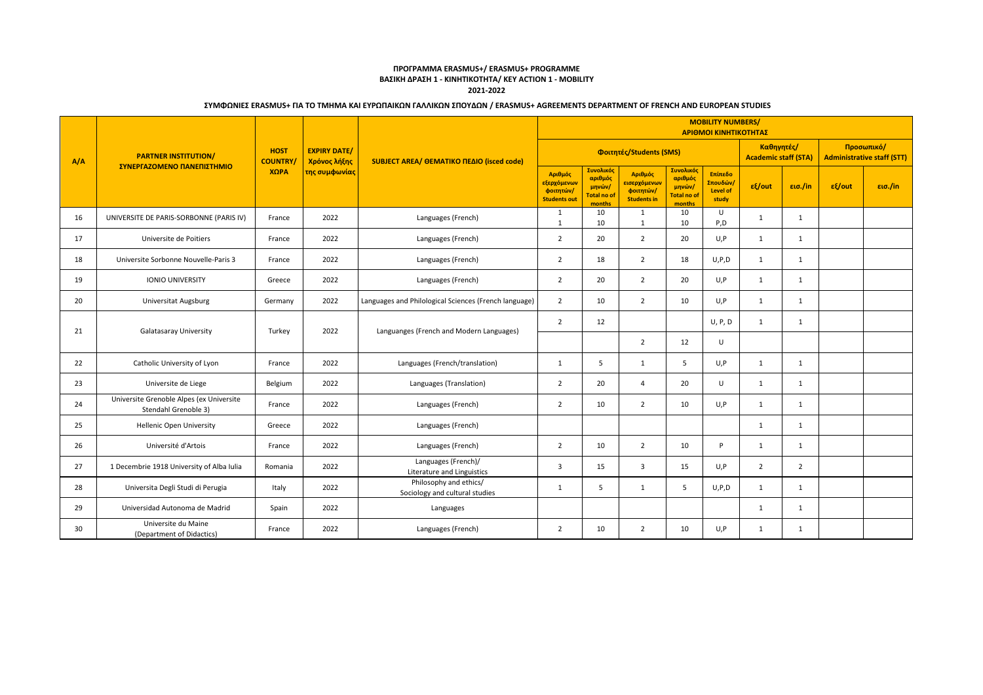|     | <b>PARTNER INSTITUTION/</b><br>ΣΥΝΕΡΓΑΖΟΜΕΝΟ ΠΑΝΕΠΙΣΤΗΜΙΟ        | <b>HOST</b><br><b>COUNTRY/</b><br>ΧΩРА | <b>EXPIRY DATE/</b><br>Χρόνος λήξης<br>της συμφωνίας | SUBJECT AREA/ OEMATIKO ΠΕΔΙΟ (isced code)                | <b>MOBILITY NUMBERS/</b><br>ΑΡΙΘΜΟΙ ΚΙΝΗΤΙΚΟΤΗΤΑΣ          |                                                        |                                                                         |                                                                      |                                                 |                                                 |                |           |         |  |
|-----|------------------------------------------------------------------|----------------------------------------|------------------------------------------------------|----------------------------------------------------------|------------------------------------------------------------|--------------------------------------------------------|-------------------------------------------------------------------------|----------------------------------------------------------------------|-------------------------------------------------|-------------------------------------------------|----------------|-----------|---------|--|
| A/A |                                                                  |                                        |                                                      |                                                          |                                                            | Φοιτητές/Students (SMS)                                |                                                                         | Καθηγητές/<br><b>Academic staff (STA)</b>                            |                                                 | Προσωπικό/<br><b>Administrative staff (STT)</b> |                |           |         |  |
|     |                                                                  |                                        |                                                      |                                                          | Αριθμός<br>εξερχόμενων<br>φοιτητών/<br><b>Students out</b> | Συνολικός<br>αριθμός<br>μηνών/<br>otal no of<br>months | Αριθμός<br><mark>εισερχόμενων</mark><br>φοιτητών/<br><b>Students in</b> | Συνολικός<br>αριθμός<br>μηνών/<br><mark>Fotal no of</mark><br>months | Επίπεδο<br>Σπουδών/<br><b>Level of</b><br>study | εξ/out                                          | εισ./in        | $ε$ {/out | εισ./in |  |
| 16  | UNIVERSITE DE PARIS-SORBONNE (PARIS IV)                          | France                                 | 2022                                                 | Languages (French)                                       | 1<br>$\mathbf{1}$                                          | 10<br>10                                               | 1<br>$\mathbf{1}$                                                       | 10<br>10                                                             | U<br>P,D                                        | $\mathbf{1}$                                    | 1              |           |         |  |
| 17  | Universite de Poitiers                                           | France                                 | 2022                                                 | Languages (French)                                       | $\overline{2}$                                             | 20                                                     | $\overline{2}$                                                          | 20                                                                   | U, P                                            | 1                                               | 1              |           |         |  |
| 18  | Universite Sorbonne Nouvelle-Paris 3                             | France                                 | 2022                                                 | Languages (French)                                       | $\overline{2}$                                             | 18                                                     | $\overline{2}$                                                          | 18                                                                   | U, P, D                                         | $\mathbf{1}$                                    | 1              |           |         |  |
| 19  | <b>IONIO UNIVERSITY</b>                                          | Greece                                 | 2022                                                 | Languages (French)                                       | $\overline{2}$                                             | 20                                                     | $\overline{2}$                                                          | 20                                                                   | U, P                                            | 1                                               | $\mathbf{1}$   |           |         |  |
| 20  | <b>Universitat Augsburg</b>                                      | Germany                                | 2022                                                 | Languages and Philological Sciences (French language)    | $\overline{2}$                                             | 10                                                     | $\overline{2}$                                                          | 10                                                                   | U, P                                            | 1                                               | 1              |           |         |  |
| 21  | Galatasaray University                                           | Turkey                                 | 2022                                                 | Languanges (French and Modern Languages)                 | $\overline{2}$                                             | 12                                                     |                                                                         |                                                                      | U, P, D                                         | $\mathbf{1}$                                    | 1              |           |         |  |
|     |                                                                  |                                        |                                                      |                                                          |                                                            |                                                        | $\overline{2}$                                                          | 12                                                                   | U                                               |                                                 |                |           |         |  |
| 22  | Catholic University of Lyon                                      | France                                 | 2022                                                 | Languages (French/translation)                           | $\mathbf{1}$                                               | 5                                                      | $\mathbf{1}$                                                            | 5                                                                    | U, P                                            | 1                                               | 1              |           |         |  |
| 23  | Universite de Liege                                              | Belgium                                | 2022                                                 | Languages (Translation)                                  | $\overline{2}$                                             | 20                                                     | 4                                                                       | 20                                                                   | U                                               | 1                                               | 1              |           |         |  |
| 24  | Universite Grenoble Alpes (ex Universite<br>Stendahl Grenoble 3) | France                                 | 2022                                                 | Languages (French)                                       | $\overline{2}$                                             | 10                                                     | $\overline{2}$                                                          | 10                                                                   | U, P                                            | <sup>1</sup>                                    | 1              |           |         |  |
| 25  | Hellenic Open University                                         | Greece                                 | 2022                                                 | Languages (French)                                       |                                                            |                                                        |                                                                         |                                                                      |                                                 | 1                                               | 1              |           |         |  |
| 26  | Université d'Artois                                              | France                                 | 2022                                                 | Languages (French)                                       | $\overline{2}$                                             | 10                                                     | $\overline{2}$                                                          | 10                                                                   | P                                               | 1                                               | 1              |           |         |  |
| 27  | 1 Decembrie 1918 University of Alba Iulia                        | Romania                                | 2022                                                 | Languages (French)/<br>Literature and Linguistics        | 3                                                          | 15                                                     | $\overline{3}$                                                          | 15                                                                   | U.P                                             | $\overline{2}$                                  | $\overline{2}$ |           |         |  |
| 28  | Universita Degli Studi di Perugia                                | Italy                                  | 2022                                                 | Philosophy and ethics/<br>Sociology and cultural studies | 1                                                          | 5                                                      | 1                                                                       | 5                                                                    | U, P, D                                         | $\mathbf{1}$                                    | 1              |           |         |  |
| 29  | Universidad Autonoma de Madrid                                   | Spain                                  | 2022                                                 | Languages                                                |                                                            |                                                        |                                                                         |                                                                      |                                                 | $\mathbf{1}$                                    | 1              |           |         |  |
| 30  | Universite du Maine<br>(Department of Didactics)                 | France                                 | 2022                                                 | Languages (French)                                       | 2                                                          | 10                                                     | $\overline{2}$                                                          | 10                                                                   | U,P                                             | $\mathbf{1}$                                    | 1              |           |         |  |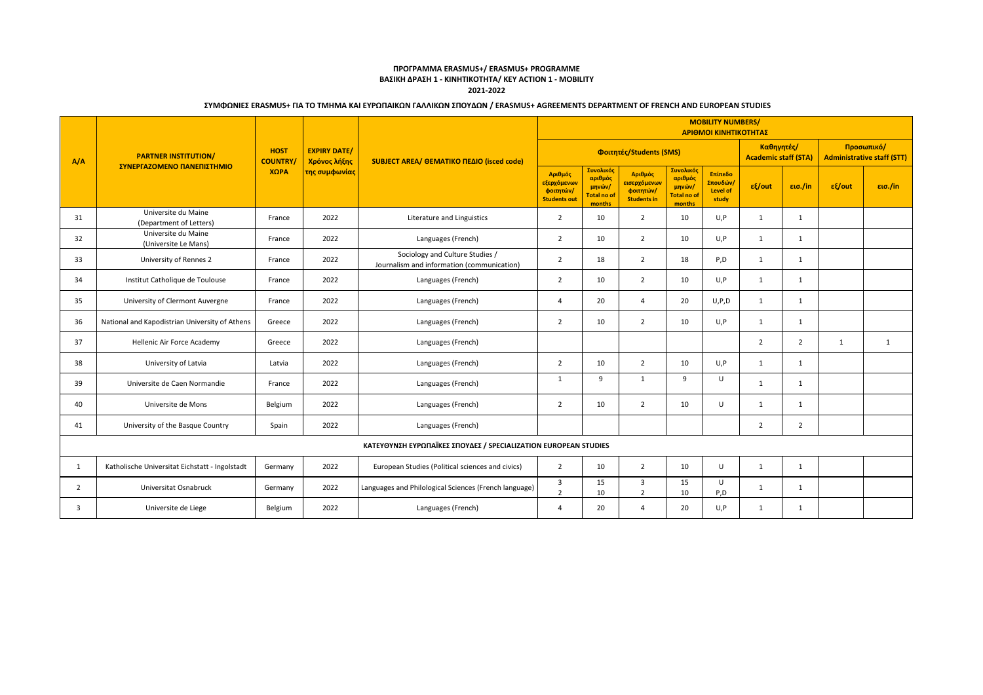|                | <b>PARTNER INSTITUTION/</b><br>ΣΥΝΕΡΓΑΖΟΜΕΝΟ ΠΑΝΕΠΙΣΤΗΜΙΟ       |                                       |                                                                     |                                                                               | <b>MOBILITY NUMBERS/</b><br>ΑΡΙΘΜΟΙ ΚΙΝΗΤΙΚΟΤΗΤΑΣ          |                                                                       |                                                                          |                                                                |                                                 |                                                 |                |           |              |  |  |
|----------------|-----------------------------------------------------------------|---------------------------------------|---------------------------------------------------------------------|-------------------------------------------------------------------------------|------------------------------------------------------------|-----------------------------------------------------------------------|--------------------------------------------------------------------------|----------------------------------------------------------------|-------------------------------------------------|-------------------------------------------------|----------------|-----------|--------------|--|--|
| A/A            |                                                                 | <b>HOST</b><br><b>COUNTRY</b><br>ΧΩΡΑ | <b>EXPIRY DATE/</b><br>Χρόνος λήξης<br>της συμφωνίας <mark> </mark> | SUBJECT AREA/ OEMATIKO ΠΕΔΙΟ (isced code)                                     |                                                            | Φοιτητές/Students (SMS)                                               |                                                                          | Καθηνητές/<br><b>Academic staff (STA)</b>                      |                                                 | Προσωπικό/<br><b>Administrative staff (STT)</b> |                |           |              |  |  |
|                |                                                                 |                                       |                                                                     |                                                                               | Αριθμός<br>εξερχόμενων<br>φοιτητών/<br><b>Students out</b> | <b>Συνολικός</b><br>αριθμός<br>μηνών/<br><b>Total no of</b><br>months | Αριθμός<br>ε <mark>ισερχόμενων</mark><br>φοιτητών/<br><b>Students in</b> | Συνολικός<br>αριθμός<br>μηνών/<br><b>Total no of</b><br>months | Επίπεδο<br>Σπουδών/<br><b>Level of</b><br>study | εξ/out                                          | εισ./in        | $ε$ {/out | εισ./in      |  |  |
| 31             | Universite du Maine<br>(Department of Letters)                  | France                                | 2022                                                                | Literature and Linguistics                                                    | $\overline{2}$                                             | 10                                                                    | $\overline{2}$                                                           | 10                                                             | U, P                                            | $\mathbf{1}$                                    | 1              |           |              |  |  |
| 32             | Universite du Maine<br>(Universite Le Mans)                     | France                                | 2022                                                                | Languages (French)                                                            | $\overline{2}$                                             | 10                                                                    | $\overline{2}$                                                           | 10                                                             | U, P                                            | $\mathbf{1}$                                    | $\mathbf{1}$   |           |              |  |  |
| 33             | University of Rennes 2                                          | France                                | 2022                                                                | Sociology and Culture Studies /<br>Journalism and information (communication) | $\overline{2}$                                             | 18                                                                    | $\overline{2}$                                                           | 18                                                             | P,D                                             | $\mathbf{1}$                                    | 1              |           |              |  |  |
| 34             | Institut Catholique de Toulouse                                 | France                                | 2022                                                                | Languages (French)                                                            | $\overline{2}$                                             | 10                                                                    | $\overline{2}$                                                           | 10                                                             | U, P                                            | 1                                               | 1              |           |              |  |  |
| 35             | University of Clermont Auvergne                                 | France                                | 2022                                                                | Languages (French)                                                            | $\Delta$                                                   | 20                                                                    | 4                                                                        | 20                                                             | U, P, D                                         | $\mathbf{1}$                                    | 1              |           |              |  |  |
| 36             | National and Kapodistrian University of Athens                  | Greece                                | 2022                                                                | Languages (French)                                                            | $\overline{2}$                                             | 10                                                                    | $\overline{2}$                                                           | 10                                                             | U, P                                            | $\mathbf{1}$                                    | 1              |           |              |  |  |
| 37             | Hellenic Air Force Academy                                      | Greece                                | 2022                                                                | Languages (French)                                                            |                                                            |                                                                       |                                                                          |                                                                |                                                 | $\overline{2}$                                  | $\overline{2}$ | 1         | $\mathbf{1}$ |  |  |
| 38             | University of Latvia                                            | Latvia                                | 2022                                                                | Languages (French)                                                            | $\overline{2}$                                             | 10                                                                    | $\overline{2}$                                                           | 10                                                             | U, P                                            | $\mathbf{1}$                                    | 1              |           |              |  |  |
| 39             | Universite de Caen Normandie                                    | France                                | 2022                                                                | Languages (French)                                                            | 1                                                          | 9                                                                     | 1                                                                        | 9                                                              | U                                               | $\mathbf{1}$                                    | $\mathbf{1}$   |           |              |  |  |
| 40             | Universite de Mons                                              | Belgium                               | 2022                                                                | Languages (French)                                                            | $\overline{2}$                                             | 10                                                                    | $\overline{2}$                                                           | 10                                                             | U                                               | $\mathbf{1}$                                    | 1              |           |              |  |  |
| 41             | University of the Basque Country                                | Spain                                 | 2022                                                                | Languages (French)                                                            |                                                            |                                                                       |                                                                          |                                                                |                                                 | $\overline{2}$                                  | $\overline{2}$ |           |              |  |  |
|                | ΚΑΤΕΥΘΥΝΣΗ ΕΥΡΩΠΑΪΚΕΣ ΣΠΟΥΔΕΣ / SPECIALIZATION EUROPEAN STUDIES |                                       |                                                                     |                                                                               |                                                            |                                                                       |                                                                          |                                                                |                                                 |                                                 |                |           |              |  |  |
| 1              | Katholische Universitat Eichstatt - Ingolstadt                  | Germany                               | 2022                                                                | European Studies (Political sciences and civics)                              | $\overline{2}$                                             | 10                                                                    | $\overline{2}$                                                           | 10                                                             | U                                               | 1                                               | 1              |           |              |  |  |
| $\overline{2}$ | Universitat Osnabruck                                           | Germany                               | 2022                                                                | Languages and Philological Sciences (French language)                         | 3<br>$\overline{\phantom{0}}$                              | 15<br>10                                                              | 3<br>$\overline{2}$                                                      | 15<br>10                                                       | U<br>P,D                                        | 1                                               | 1              |           |              |  |  |
| 3              | Universite de Liege                                             | Belgium                               | 2022                                                                | Languages (French)                                                            | $\overline{a}$                                             | 20                                                                    | $\overline{a}$                                                           | 20                                                             | U, P                                            | 1                                               | $\mathbf{1}$   |           |              |  |  |